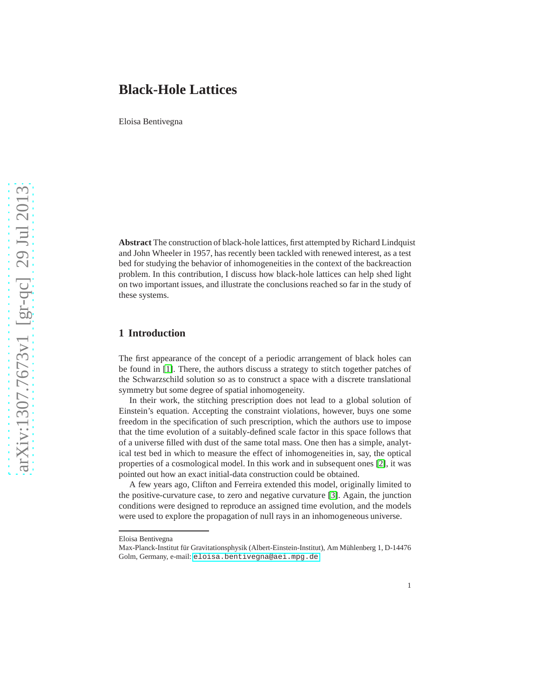# **Black-Hole Lattices**

Eloisa Bentivegna

**Abstract** The construction of black-hole lattices, first attempted by Richard Lindquist and John Wheeler in 1957, has recently been tackled with renewed interest, as a test bed for studying the behavior of inhomogeneities in the context of the backreaction problem. In this contribution, I discuss how black-hole lattices can help shed light on two important issues, and illustrate the conclusions reached so far in the study of these systems.

### **1 Introduction**

The first appearance of the concept of a periodic arrangement of black holes can be found in [\[1\]](#page-3-0). There, the authors discuss a strategy to stitch together patches of the Schwarzschild solution so as to construct a space with a discrete translational symmetry but some degree of spatial inhomogeneity.

In their work, the stitching prescription does not lead to a global solution of Einstein's equation. Accepting the constraint violations, however, buys one some freedom in the specification of such prescription, which the authors use to impose that the time evolution of a suitably-defined scale factor in this space follows that of a universe filled with dust of the same total mass. One then has a simple, analytical test bed in which to measure the effect of inhomogeneities in, say, the optical properties of a cosmological model. In this work and in subsequent ones [\[2\]](#page-3-1), it was pointed out how an exact initial-data construction could be obtained.

A few years ago, Clifton and Ferreira extended this model, originally limited to the positive-curvature case, to zero and negative curvature [\[3\]](#page-3-2). Again, the junction conditions were designed to reproduce an assigned time evolution, and the models were used to explore the propagation of null rays in an inhomogeneous universe.

Eloisa Bentivegna

Max-Planck-Institut für Gravitationsphysik (Albert-Einstein-Institut), Am Mühlenberg 1, D-14476 Golm, Germany, e-mail: <eloisa.bentivegna@aei.mpg.de>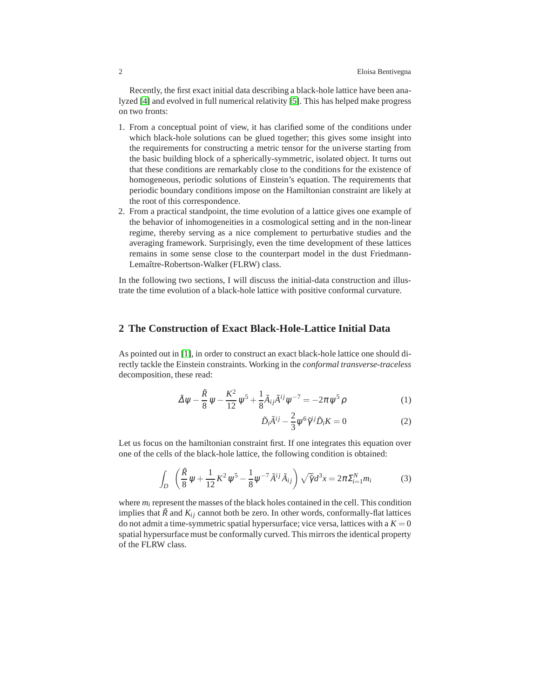Recently, the first exact initial data describing a black-hole lattice have been analyzed [\[4\]](#page-3-3) and evolved in full numerical relativity [\[5\]](#page-3-4). This has helped make progress on two fronts:

- 1. From a conceptual point of view, it has clarified some of the conditions under which black-hole solutions can be glued together; this gives some insight into the requirements for constructing a metric tensor for the universe starting from the basic building block of a spherically-symmetric, isolated object. It turns out that these conditions are remarkably close to the conditions for the existence of homogeneous, periodic solutions of Einstein's equation. The requirements that periodic boundary conditions impose on the Hamiltonian constraint are likely at the root of this correspondence.
- 2. From a practical standpoint, the time evolution of a lattice gives one example of the behavior of inhomogeneities in a cosmological setting and in the non-linear regime, thereby serving as a nice complement to perturbative studies and the averaging framework. Surprisingly, even the time development of these lattices remains in some sense close to the counterpart model in the dust Friedmann-Lemaître-Robertson-Walker (FLRW) class.

In the following two sections, I will discuss the initial-data construction and illustrate the time evolution of a black-hole lattice with positive conformal curvature.

#### **2 The Construction of Exact Black-Hole-Lattice Initial Data**

As pointed out in [\[1\]](#page-3-0), in order to construct an exact black-hole lattice one should directly tackle the Einstein constraints. Working in the *conformal transverse-traceless* decomposition, these read:

$$
\tilde{\Delta}\psi - \frac{\tilde{R}}{8}\psi - \frac{K^2}{12}\psi^5 + \frac{1}{8}\tilde{A}_{ij}\tilde{A}^{ij}\psi^{-7} = -2\pi\psi^5\rho
$$
 (1)

$$
\tilde{D}_i \tilde{A}^{ij} - \frac{2}{3} \psi^6 \tilde{\gamma}^{ij} \tilde{D}_i K = 0 \tag{2}
$$

Let us focus on the hamiltonian constraint first. If one integrates this equation over one of the cells of the black-hole lattice, the following condition is obtained:

<span id="page-1-0"></span>
$$
\int_{D} \left( \frac{\tilde{R}}{8} \psi + \frac{1}{12} K^{2} \psi^{5} - \frac{1}{8} \psi^{-7} \tilde{A}^{ij} \tilde{A}_{ij} \right) \sqrt{\tilde{\gamma}} d^{3} x = 2\pi \Sigma_{i=1}^{N} m_{i}
$$
 (3)

where  $m_i$  represent the masses of the black holes contained in the cell. This condition implies that  $\tilde{R}$  and  $K_{ij}$  cannot both be zero. In other words, conformally-flat lattices do not admit a time-symmetric spatial hypersurface; vice versa, lattices with a  $K = 0$ spatial hypersurface must be conformally curved. This mirrors the identical property of the FLRW class.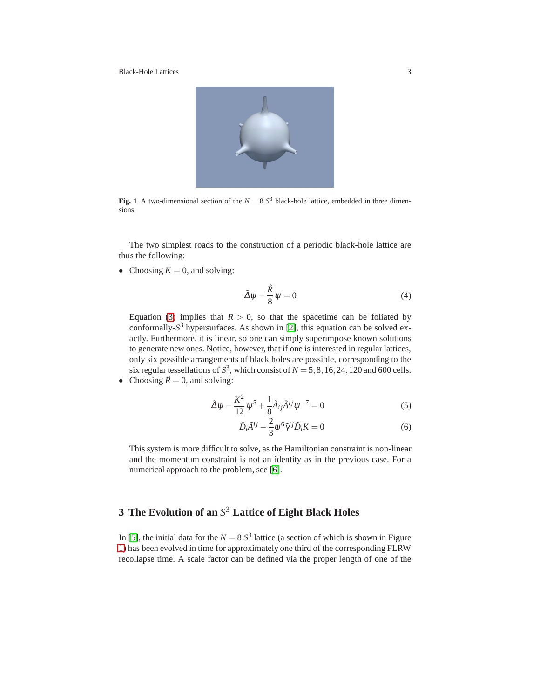Black-Hole Lattices 3



**Fig. 1** A two-dimensional section of the  $N = 8 S<sup>3</sup>$  black-hole lattice, embedded in three dimensions.

<span id="page-2-0"></span>The two simplest roads to the construction of a periodic black-hole lattice are thus the following:

• Choosing  $K = 0$ , and solving:

$$
\tilde{\Delta}\psi - \frac{\tilde{R}}{8}\psi = 0\tag{4}
$$

Equation [\(3\)](#page-1-0) implies that  $R > 0$ , so that the spacetime can be foliated by conformally-*S* <sup>3</sup> hypersurfaces. As shown in [\[2\]](#page-3-1), this equation can be solved exactly. Furthermore, it is linear, so one can simply superimpose known solutions to generate new ones. Notice, however, that if one is interested in regular lattices, only six possible arrangements of black holes are possible, corresponding to the six regular tessellations of  $S^3$ , which consist of  $N = 5, 8, 16, 24, 120$  and 600 cells. • Choosing  $\tilde{R} = 0$ , and solving:

$$
\tilde{\Delta}\psi - \frac{K^2}{12}\psi^5 + \frac{1}{8}\tilde{A}_{ij}\tilde{A}^{ij}\psi^{-7} = 0
$$
\n(5)

$$
\tilde{D}_i \tilde{A}^{ij} - \frac{2}{3} \psi^6 \tilde{\gamma}^{ij} \tilde{D}_i K = 0 \tag{6}
$$

This system is more difficult to solve, as the Hamiltonian constraint is non-linear and the momentum constraint is not an identity as in the previous case. For a numerical approach to the problem, see [\[6\]](#page-3-5).

# **3 The Evolution of an** *S* <sup>3</sup> **Lattice of Eight Black Holes**

In [\[5\]](#page-3-4), the initial data for the  $N = 8 S<sup>3</sup>$  lattice (a section of which is shown in Figure [1\)](#page-2-0) has been evolved in time for approximately one third of the corresponding FLRW recollapse time. A scale factor can be defined via the proper length of one of the